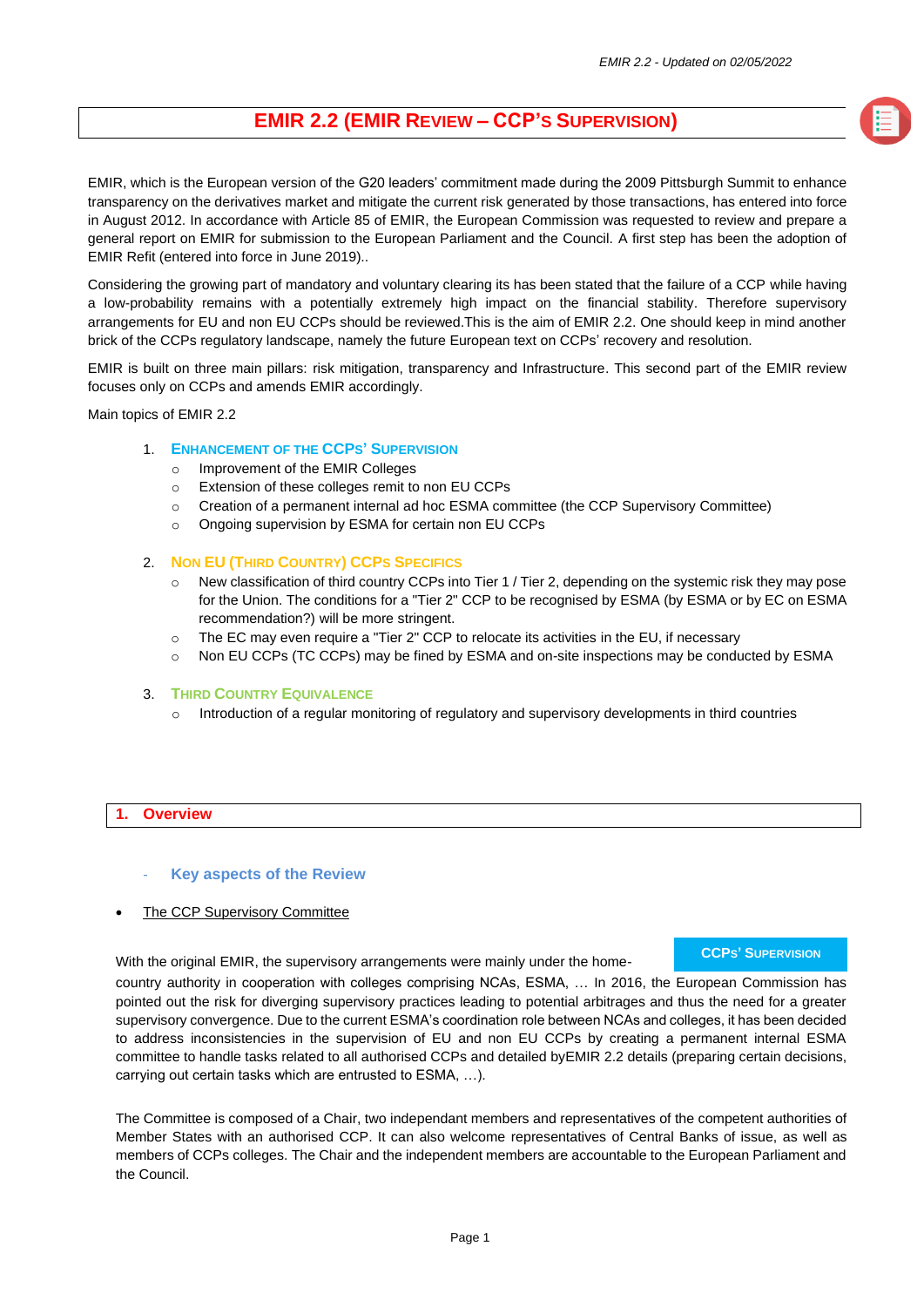# **EMIR 2.2 (EMIR REVIEW – CCP'S SUPERVISION)**

EMIR, which is the European version of the G20 leaders' commitment made during the 2009 Pittsburgh Summit to enhance transparency on the derivatives market and mitigate the current risk generated by those transactions, has entered into force in August 2012. In accordance with Article 85 of EMIR, the European Commission was requested to review and prepare a general report on EMIR for submission to the European Parliament and the Council. A first step has been the adoption of EMIR Refit (entered into force in June 2019)..

Considering the growing part of mandatory and voluntary clearing its has been stated that the failure of a CCP while having a low-probability remains with a potentially extremely high impact on the financial stability. Therefore supervisory arrangements for EU and non EU CCPs should be reviewed.This is the aim of EMIR 2.2. One should keep in mind another brick of the CCPs regulatory landscape, namely the future European text on CCPs' recovery and resolution.

EMIR is built on three main pillars: risk mitigation, transparency and Infrastructure. This second part of the EMIR review focuses only on CCPs and amends EMIR accordingly.

Main topics of EMIR 2.2

# 1. **ENHANCEMENT OF THE CCPS' SUPERVISION**

- o Improvement of the EMIR Colleges
- o Extension of these colleges remit to non EU CCPs
- o Creation of a permanent internal ad hoc ESMA committee (the CCP Supervisory Committee)
- o Ongoing supervision by ESMA for certain non EU CCPs

#### 2. **NON EU (THIRD COUNTRY) CCPS SPECIFICS**

- o New classification of third country CCPs into Tier 1 / Tier 2, depending on the systemic risk they may pose for the Union. The conditions for a "Tier 2" CCP to be recognised by ESMA (by ESMA or by EC on ESMA recommendation?) will be more stringent.
- o The EC may even require a "Tier 2" CCP to relocate its activities in the EU, if necessary
- o Non EU CCPs (TC CCPs) may be fined by ESMA and on-site inspections may be conducted by ESMA

#### 3. **THIRD COUNTRY EQUIVALENCE**

Introduction of a regular monitoring of regulatory and supervisory developments in third countries

# **1. Overview**

#### **Key aspects of the Review**

The CCP Supervisory Committee

With the original EMIR, the supervisory arrangements were mainly under the home-

# **CCPS' SUPERVISION**

country authority in cooperation with colleges comprising NCAs, ESMA, … In 2016, the European Commission has pointed out the risk for diverging supervisory practices leading to potential arbitrages and thus the need for a greater supervisory convergence. Due to the current ESMA's coordination role between NCAs and colleges, it has been decided to address inconsistencies in the supervision of EU and non EU CCPs by creating a permanent internal ESMA committee to handle tasks related to all authorised CCPs and detailed byEMIR 2.2 details (preparing certain decisions, carrying out certain tasks which are entrusted to ESMA, …).

The Committee is composed of a Chair, two independant members and representatives of the competent authorities of Member States with an authorised CCP. It can also welcome representatives of Central Banks of issue, as well as members of CCPs colleges. The Chair and the independent members are accountable to the European Parliament and the Council.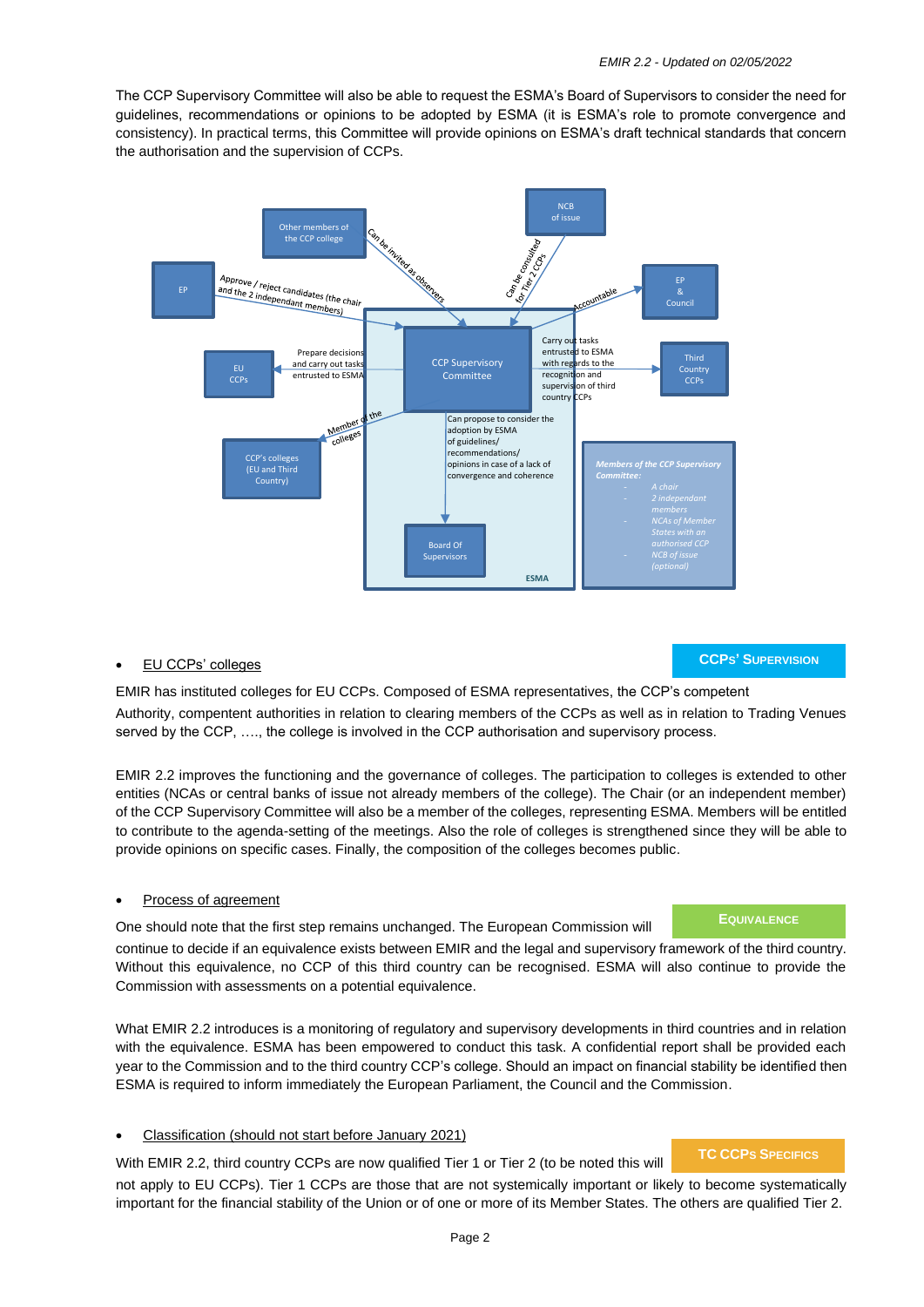The CCP Supervisory Committee will also be able to request the ESMA's Board of Supervisors to consider the need for guidelines, recommendations or opinions to be adopted by ESMA (it is ESMA's role to promote convergence and consistency). In practical terms, this Committee will provide opinions on ESMA's draft technical standards that concern the authorisation and the supervision of CCPs.



# • EU CCPs' colleges

**CCPS' SUPERVISION**

EMIR has instituted colleges for EU CCPs. Composed of ESMA representatives, the CCP's competent Authority, compentent authorities in relation to clearing members of the CCPs as well as in relation to Trading Venues served by the CCP, …., the college is involved in the CCP authorisation and supervisory process.

EMIR 2.2 improves the functioning and the governance of colleges. The participation to colleges is extended to other entities (NCAs or central banks of issue not already members of the college). The Chair (or an independent member) of the CCP Supervisory Committee will also be a member of the colleges, representing ESMA. Members will be entitled to contribute to the agenda-setting of the meetings. Also the role of colleges is strengthened since they will be able to provide opinions on specific cases. Finally, the composition of the colleges becomes public.

# • Process of agreement

One should note that the first step remains unchanged. The European Commission will

continue to decide if an equivalence exists between EMIR and the legal and supervisory framework of the third country. Without this equivalence, no CCP of this third country can be recognised. ESMA will also continue to provide the Commission with assessments on a potential equivalence.

What EMIR 2.2 introduces is a monitoring of regulatory and supervisory developments in third countries and in relation with the equivalence. ESMA has been empowered to conduct this task. A confidential report shall be provided each year to the Commission and to the third country CCP's college. Should an impact on financial stability be identified then ESMA is required to inform immediately the European Parliament, the Council and the Commission.

# • Classification (should not start before January 2021)

With EMIR 2.2, third country CCPs are now qualified Tier 1 or Tier 2 (to be noted this will

# **TC CCPS SPECIFICS**

**EQUIVALENCE**

not apply to EU CCPs). Tier 1 CCPs are those that are not systemically important or likely to become systematically important for the financial stability of the Union or of one or more of its Member States. The others are qualified Tier 2.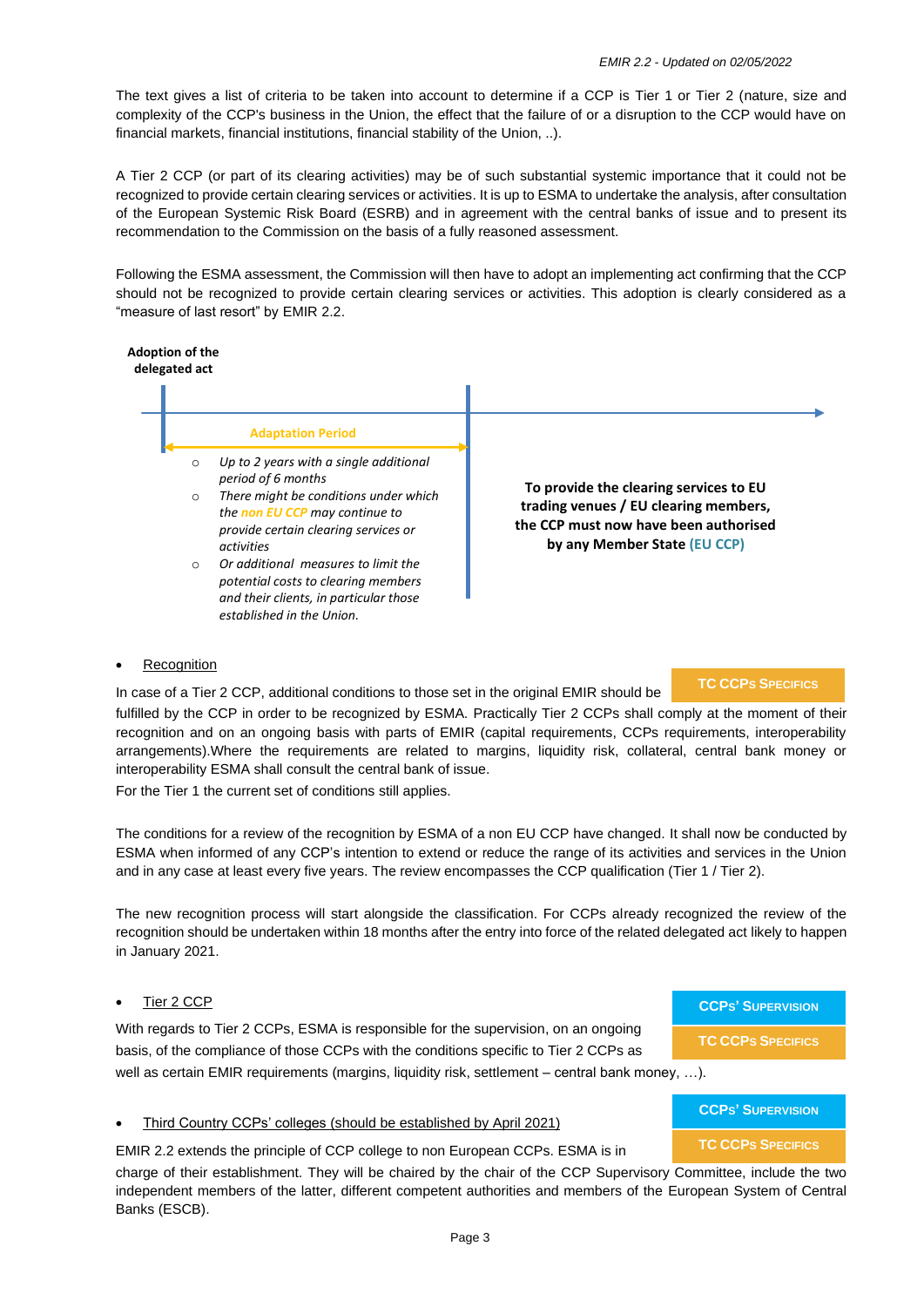The text gives a list of criteria to be taken into account to determine if a CCP is Tier 1 or Tier 2 (nature, size and complexity of the CCP's business in the Union, the effect that the failure of or a disruption to the CCP would have on financial markets, financial institutions, financial stability of the Union, ..).

A Tier 2 CCP (or part of its clearing activities) may be of such substantial systemic importance that it could not be recognized to provide certain clearing services or activities. It is up to ESMA to undertake the analysis, after consultation of the European Systemic Risk Board (ESRB) and in agreement with the central banks of issue and to present its recommendation to the Commission on the basis of a fully reasoned assessment.

Following the ESMA assessment, the Commission will then have to adopt an implementing act confirming that the CCP should not be recognized to provide certain clearing services or activities. This adoption is clearly considered as a "measure of last resort" by EMIR 2.2.



- o *Up to 2 years with a single additional period of 6 months*
- **There might be conditions under which** *the non EU CCP may continue to provide certain clearing services or activities*
- o *Or additional measures to limit the potential costs to clearing members and their clients, in particular those established in the Union.*

**To provide the clearing services to EU trading venues / EU clearing members, the CCP must now have been authorised by any Member State (EU CCP)**

# **Recognition**

In case of a Tier 2 CCP, additional conditions to those set in the original EMIR should be

# **TC CCPS SPECIFICS**

fulfilled by the CCP in order to be recognized by ESMA. Practically Tier 2 CCPs shall comply at the moment of their recognition and on an ongoing basis with parts of EMIR (capital requirements, CCPs requirements, interoperability arrangements).Where the requirements are related to margins, liquidity risk, collateral, central bank money or interoperability ESMA shall consult the central bank of issue.

For the Tier 1 the current set of conditions still applies.

The conditions for a review of the recognition by ESMA of a non EU CCP have changed. It shall now be conducted by ESMA when informed of any CCP's intention to extend or reduce the range of its activities and services in the Union and in any case at least every five years. The review encompasses the CCP qualification (Tier 1 / Tier 2).

The new recognition process will start alongside the classification. For CCPs already recognized the review of the recognition should be undertaken within 18 months after the entry into force of the related delegated act likely to happen in January 2021.

# Tier 2 CCP

With regards to Tier 2 CCPs, ESMA is responsible for the supervision, on an ongoing basis, of the compliance of those CCPs with the conditions specific to Tier 2 CCPs as

well as certain EMIR requirements (margins, liquidity risk, settlement – central bank money, ...).

# • Third Country CCPs' colleges (should be established by April 2021)

EMIR 2.2 extends the principle of CCP college to non European CCPs. ESMA is in

charge of their establishment. They will be chaired by the chair of the CCP Supervisory Committee, include the two independent members of the latter, different competent authorities and members of the European System of Central Banks (ESCB).

| <b>CCPS' SUPERVISION</b> |
|--------------------------|
| <b>TC CCPs SPECIFICS</b> |

**CCPS' SUPERVISION**

**TC CCPS SPECIFICS**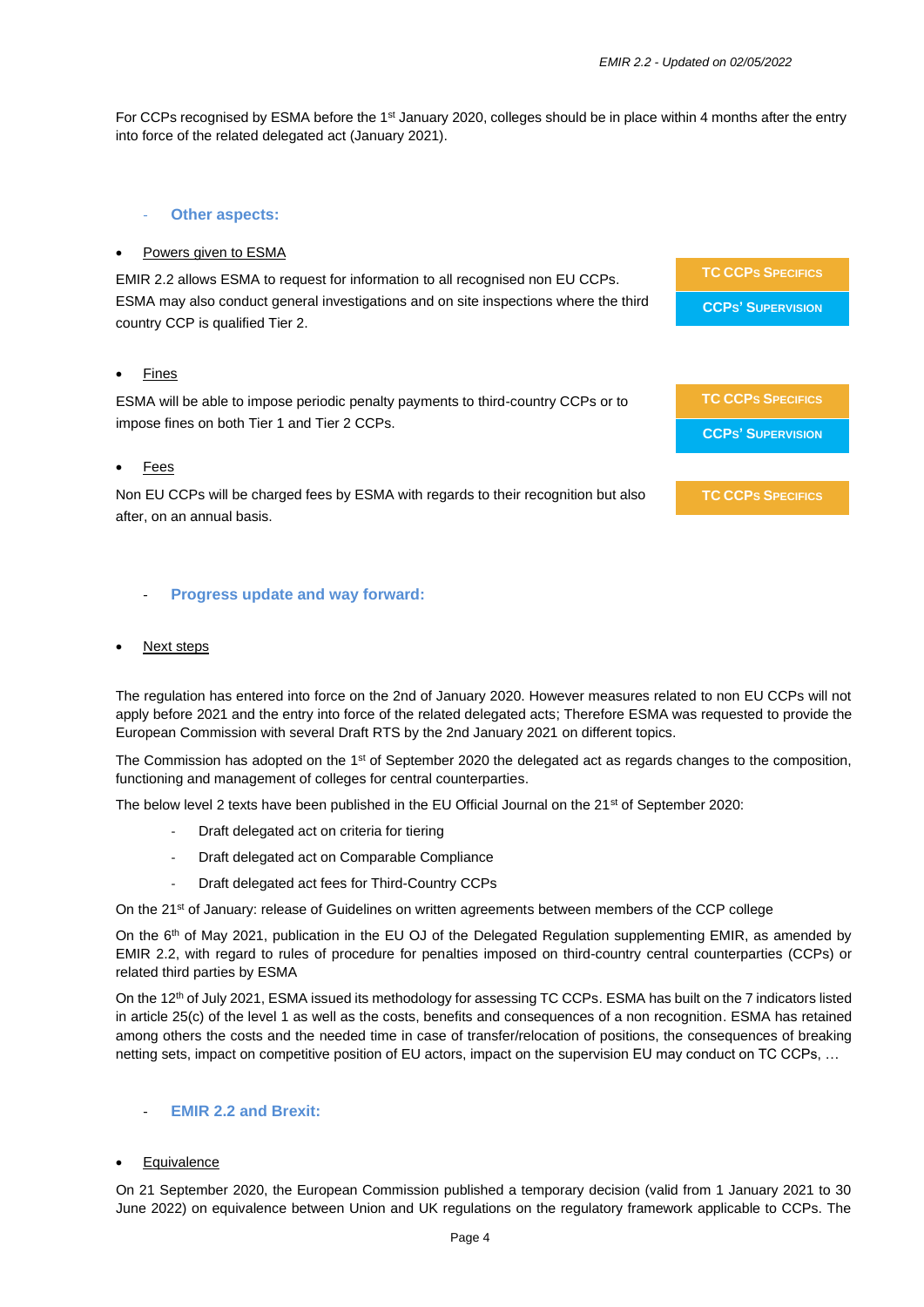**TC CCPS SPECIFICS**

**CCPS' SUPERVISION**

**TC CCPS SPECIFICS**

For CCPs recognised by ESMA before the 1<sup>st</sup> January 2020, colleges should be in place within 4 months after the entry into force of the related delegated act (January 2021).

# **Other aspects:**

# • Powers given to ESMA

EMIR 2.2 allows ESMA to request for information to all recognised non EU CCPs. ESMA may also conduct general investigations and on site inspections where the third country CCP is qualified Tier 2. **TC CCPS SPECIFICS CCPS' SUPERVISION**

# • Fines

ESMA will be able to impose periodic penalty payments to third-country CCPs or to impose fines on both Tier 1 and Tier 2 CCPs.

# **Fees**

Non EU CCPs will be charged fees by ESMA with regards to their recognition but also after, on an annual basis.

# - **Progress update and way forward:**

# **Next steps**

The regulation has entered into force on the 2nd of January 2020. However measures related to non EU CCPs will not apply before 2021 and the entry into force of the related delegated acts; Therefore ESMA was requested to provide the European Commission with several Draft RTS by the 2nd January 2021 on different topics.

The Commission has adopted on the 1<sup>st</sup> of September 2020 the delegated act as regards changes to the composition, functioning and management of colleges for central counterparties.

The below level 2 texts have been published in the EU Official Journal on the 21<sup>st</sup> of September 2020:

- Draft delegated act on criteria for tiering
- Draft delegated act on Comparable Compliance
- Draft delegated act fees for Third-Country CCPs

On the 21<sup>st</sup> of January: release of Guidelines on written agreements between members of the CCP college

On the 6<sup>th</sup> of May 2021, publication in the EU OJ of the Delegated Regulation supplementing EMIR, as amended by EMIR 2.2, with regard to rules of procedure for penalties imposed on third-country central counterparties (CCPs) or related third parties by ESMA

On the 12<sup>th</sup> of July 2021, ESMA issued its methodology for assessing TC CCPs. ESMA has built on the 7 indicators listed in article 25(c) of the level 1 as well as the costs, benefits and consequences of a non recognition. ESMA has retained among others the costs and the needed time in case of transfer/relocation of positions, the consequences of breaking netting sets, impact on competitive position of EU actors, impact on the supervision EU may conduct on TC CCPs, …

# - **EMIR 2.2 and Brexit:**

# **Equivalence**

On 21 September 2020, the European Commission published a temporary decision (valid from 1 January 2021 to 30 June 2022) on equivalence between Union and UK regulations on the regulatory framework applicable to CCPs. The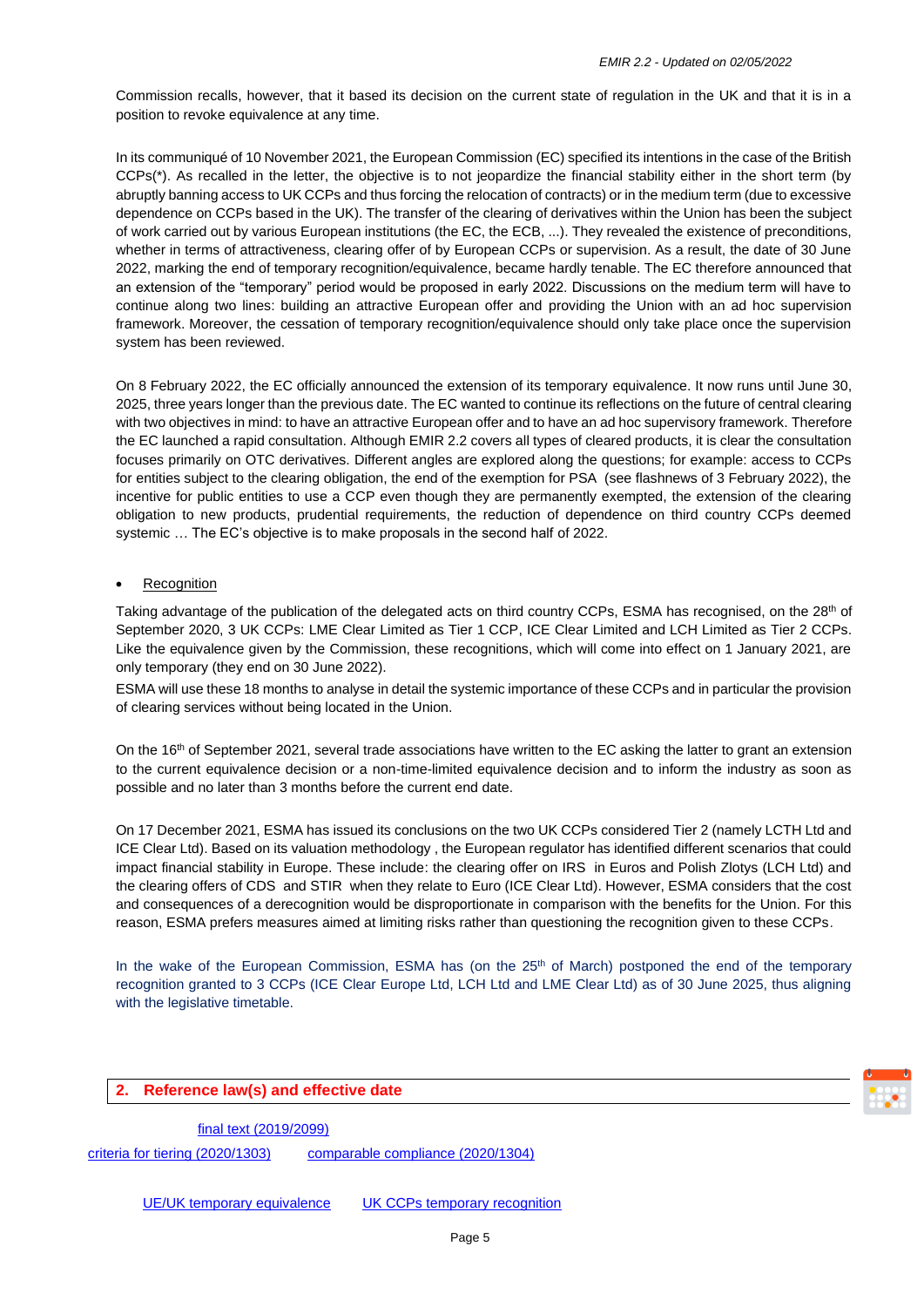Commission recalls, however, that it based its decision on the current state of regulation in the UK and that it is in a position to revoke equivalence at any time.

In its communiqué of 10 November 2021, the European Commission (EC) specified its intentions in the case of the British CCPs(\*). As recalled in the letter, the objective is to not jeopardize the financial stability either in the short term (by abruptly banning access to UK CCPs and thus forcing the relocation of contracts) or in the medium term (due to excessive dependence on CCPs based in the UK). The transfer of the clearing of derivatives within the Union has been the subject of work carried out by various European institutions (the EC, the ECB, ...). They revealed the existence of preconditions, whether in terms of attractiveness, clearing offer of by European CCPs or supervision. As a result, the date of 30 June 2022, marking the end of temporary recognition/equivalence, became hardly tenable. The EC therefore announced that an extension of the "temporary" period would be proposed in early 2022. Discussions on the medium term will have to continue along two lines: building an attractive European offer and providing the Union with an ad hoc supervision framework. Moreover, the cessation of temporary recognition/equivalence should only take place once the supervision system has been reviewed.

On 8 February 2022, the EC officially announced the extension of its temporary equivalence. It now runs until June 30, 2025, three years longer than the previous date. The EC wanted to continue its reflections on the future of central clearing with two objectives in mind: to have an attractive European offer and to have an ad hoc supervisory framework. Therefore the EC launched a rapid consultation. Although EMIR 2.2 covers all types of cleared products, it is clear the consultation focuses primarily on OTC derivatives. Different angles are explored along the questions; for example: access to CCPs for entities subject to the clearing obligation, the end of the exemption for PSA (see flashnews of 3 February 2022), the incentive for public entities to use a CCP even though they are permanently exempted, the extension of the clearing obligation to new products, prudential requirements, the reduction of dependence on third country CCPs deemed systemic … The EC's objective is to make proposals in the second half of 2022.

# • Recognition

Taking advantage of the publication of the delegated acts on third country CCPs, ESMA has recognised, on the 28<sup>th</sup> of September 2020, 3 UK CCPs: LME Clear Limited as Tier 1 CCP, ICE Clear Limited and LCH Limited as Tier 2 CCPs. Like the equivalence given by the Commission, these recognitions, which will come into effect on 1 January 2021, are only temporary (they end on 30 June 2022).

ESMA will use these 18 months to analyse in detail the systemic importance of these CCPs and in particular the provision of clearing services without being located in the Union.

On the 16<sup>th</sup> of September 2021, several trade associations have written to the EC asking the latter to grant an extension to the current equivalence decision or a non-time-limited equivalence decision and to inform the industry as soon as possible and no later than 3 months before the current end date.

On 17 December 2021, ESMA has issued its conclusions on the two UK CCPs considered Tier 2 (namely LCTH Ltd and ICE Clear Ltd). Based on its valuation methodology , the European regulator has identified different scenarios that could impact financial stability in Europe. These include: the clearing offer on IRS in Euros and Polish Zlotys (LCH Ltd) and the clearing offers of CDS and STIR when they relate to Euro (ICE Clear Ltd). However, ESMA considers that the cost and consequences of a derecognition would be disproportionate in comparison with the benefits for the Union. For this reason, ESMA prefers measures aimed at limiting risks rather than questioning the recognition given to these CCPs.

In the wake of the European Commission, ESMA has (on the 25<sup>th</sup> of March) postponed the end of the temporary recognition granted to 3 CCPs (ICE Clear Europe Ltd, LCH Ltd and LME Clear Ltd) as of 30 June 2025, thus aligning with the legislative timetable.

# **2. Reference law(s) and effective date**

[final text \(2019/2099\)](https://eur-lex.europa.eu/legal-content/EN/TXT/PDF/?uri=OJ:L:2019:322:FULL)

[criteria for tiering \(2020/1303\)](https://eur-lex.europa.eu/legal-content/EN/TXT/PDF/?uri=CELEX:32020R1303&from=EN) [comparable compliance \(2020/1304\)](https://eur-lex.europa.eu/legal-content/EN/TXT/PDF/?uri=CELEX:32020R1304&qid=1601567969311&from=EN)

[UE/UK temporary equivalence](https://eur-lex.europa.eu/legal-content/EN/TXT/PDF/?uri=CELEX:32020D1308&from=EN) [UK CCPs temporary recognition](https://www.esma.europa.eu/sites/default/files/library/esma71-99-1403_communication_ukccps_recognition_2020.pdf)